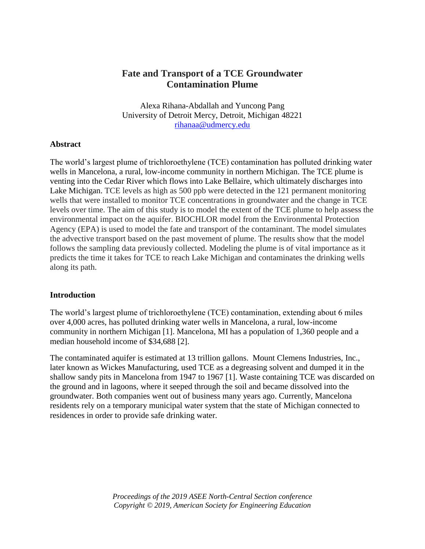# **Fate and Transport of a TCE Groundwater Contamination Plume**

Alexa Rihana-Abdallah and Yuncong Pang University of Detroit Mercy, Detroit, Michigan 48221 [rihanaa@udmercy.edu](mailto:rihanaa@udmercy.edu)

#### **Abstract**

The world's largest plume of trichloroethylene (TCE) contamination has polluted drinking water wells in Mancelona, a rural, low-income community in northern Michigan. The TCE plume is venting into the Cedar River which flows into Lake Bellaire, which ultimately discharges into Lake Michigan. TCE levels as high as 500 ppb were detected in the 121 permanent monitoring wells that were installed to monitor TCE concentrations in groundwater and the change in TCE levels over time. The aim of this study is to model the extent of the TCE plume to help assess the environmental impact on the aquifer. BIOCHLOR model from the Environmental Protection Agency (EPA) is used to model the fate and transport of the contaminant. The model simulates the advective transport based on the past movement of plume. The results show that the model follows the sampling data previously collected. Modeling the plume is of vital importance as it predicts the time it takes for TCE to reach Lake Michigan and contaminates the drinking wells along its path.

#### **Introduction**

The world's largest plume of trichloroethylene (TCE) contamination, extending about 6 miles over 4,000 acres, has polluted drinking water wells in Mancelona, a rural, low-income community in northern Michigan [1]. Mancelona, MI has a population of 1,360 people and a median household income of \$34,688 [2].

The contaminated aquifer is estimated at 13 trillion gallons. Mount Clemens Industries, Inc., later known as Wickes Manufacturing, used TCE as a degreasing solvent and dumped it in the shallow sandy pits in Mancelona from 1947 to 1967 [1]. Waste containing TCE was discarded on the ground and in lagoons, where it seeped through the soil and became dissolved into the groundwater. Both companies went out of business many years ago. Currently, Mancelona residents rely on a temporary municipal water system that the state of Michigan connected to residences in order to provide safe drinking water.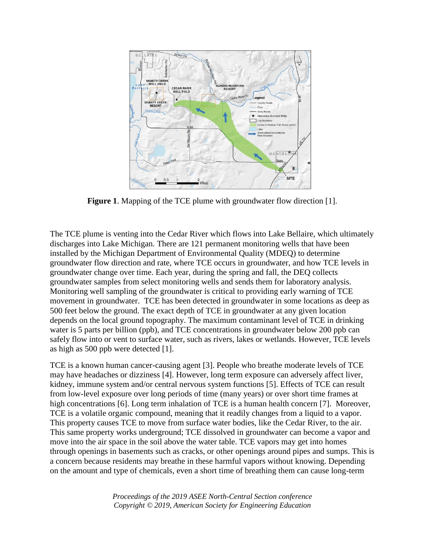

**Figure 1**. Mapping of the TCE plume with groundwater flow direction [1].

The TCE plume is venting into the Cedar River which flows into Lake Bellaire, which ultimately discharges into Lake Michigan. There are 121 permanent monitoring wells that have been installed by the Michigan Department of Environmental Quality (MDEQ) to determine groundwater flow direction and rate, where TCE occurs in groundwater, and how TCE levels in groundwater change over time. Each year, during the spring and fall, the DEQ collects groundwater samples from select monitoring wells and sends them for laboratory analysis. Monitoring well sampling of the groundwater is critical to providing early warning of TCE movement in groundwater. TCE has been detected in groundwater in some locations as deep as 500 feet below the ground. The exact depth of TCE in groundwater at any given location depends on the local ground topography. The maximum contaminant level of TCE in drinking water is 5 parts per billion (ppb), and TCE concentrations in groundwater below 200 ppb can safely flow into or vent to surface water, such as rivers, lakes or wetlands. However, TCE levels as high as 500 ppb were detected [1].

TCE is a known human cancer-causing agent [3]. People who breathe moderate levels of TCE may have headaches or dizziness [4]. However, long term exposure can adversely affect liver, kidney, immune system and/or central nervous system functions [5]. Effects of TCE can result from low-level exposure over long periods of time (many years) or over short time frames at high concentrations [6]. Long term inhalation of TCE is a human health concern [7]. Moreover, TCE is a volatile organic compound, meaning that it readily changes from a liquid to a vapor. This property causes TCE to move from surface water bodies, like the Cedar River, to the air. This same property works underground; TCE dissolved in groundwater can become a vapor and move into the air space in the soil above the water table. TCE vapors may get into homes through openings in basements such as cracks, or other openings around pipes and sumps. This is a concern because residents may breathe in these harmful vapors without knowing. Depending on the amount and type of chemicals, even a short time of breathing them can cause long-term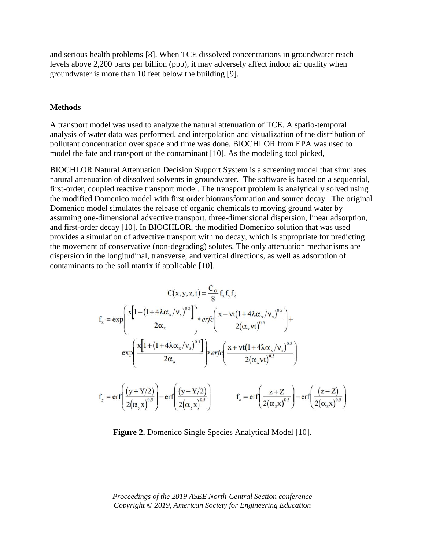and serious health problems [8]. When TCE dissolved concentrations in groundwater reach levels above 2,200 parts per billion (ppb), it may adversely affect indoor air quality when groundwater is more than 10 feet below the building [9].

#### **Methods**

A transport model was used to analyze the natural attenuation of TCE. A spatio-temporal analysis of water data was performed, and interpolation and visualization of the distribution of pollutant concentration over space and time was done. BIOCHLOR from EPA was used to model the fate and transport of the contaminant [10]. As the modeling tool picked,

BIOCHLOR Natural Attenuation Decision Support System is a screening model that simulates natural attenuation of dissolved solvents in groundwater. The software is based on a sequential, first-order, coupled reactive transport model. The transport problem is analytically solved using the modified Domenico model with first order biotransformation and source decay. The original Domenico model simulates the release of organic chemicals to moving ground water by assuming one-dimensional advective transport, three-dimensional dispersion, linear adsorption, and first-order decay [10]. In BIOCHLOR, the modified Domenico solution that was used provides a simulation of advective transport with no decay, which is appropriate for predicting the movement of conservative (non-degrading) solutes. The only attenuation mechanisms are dispersion in the longitudinal, transverse, and vertical directions, as well as adsorption of contaminants to the soil matrix if applicable [10].

$$
C(x,y,z,t) = \frac{C_o}{8} f_x f_y f_z
$$
  
\n
$$
f_x = \exp\left(\frac{x[1 - (1 + 4\lambda\alpha_x/v_s)^{0.5}]}{2\alpha_x}\right) * erf_c\left(\frac{x - vt(1 + 4\lambda\alpha_x/v_s)^{0.5}}{2(\alpha_x vt)^{0.5}}\right) + \exp\left(\frac{x[1 + (1 + 4\lambda\alpha_x/v_s)^{0.5}]}{2\alpha_x}\right) * erf_c\left(\frac{x + vt(1 + 4\lambda\alpha_x/v_s)^{0.5}}{2(\alpha_x vt)^{0.5}}\right)
$$
  
\n
$$
f_y = erf_c\left(\frac{(y + Y/2)}{2(\alpha_y x)^{0.5}}\right) - erf_c\left(\frac{(y - Y/2)}{2(\alpha_y x)^{0.5}}\right) \qquad f_z = erf_c\left(\frac{z + Z}{2(\alpha_z x)^{0.5}}\right) - erf_c\left(\frac{(z - Z)}{2(\alpha_z x)^{0.5}}\right)
$$

**Figure 2.** Domenico Single Species Analytical Model [10].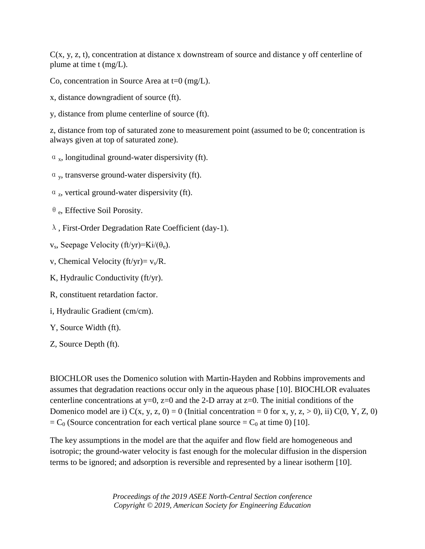$C(x, y, z, t)$ , concentration at distance x downstream of source and distance y off centerline of plume at time t (mg/L).

Co, concentration in Source Area at  $t=0$  (mg/L).

- x, distance downgradient of source (ft).
- y, distance from plume centerline of source (ft).

z, distance from top of saturated zone to measurement point (assumed to be 0; concentration is always given at top of saturated zone).

- $\alpha_x$ , longitudinal ground-water dispersivity (ft).
- $\alpha$ <sub>y</sub>, transverse ground-water dispersivity (ft).
- $\alpha$ <sub>z</sub>, vertical ground-water dispersivity (ft).
- θe, Effective Soil Porosity.
- λ, First-Order Degradation Rate Coefficient (day-1).
- $v_s$ , Seepage Velocity (ft/yr)=Ki/( $\theta_e$ ).
- v, Chemical Velocity (ft/yr)=  $v_s/R$ .
- K, Hydraulic Conductivity (ft/yr).
- R, constituent retardation factor.
- i, Hydraulic Gradient (cm/cm).
- Y, Source Width (ft).
- Z, Source Depth (ft).

BIOCHLOR uses the Domenico solution with Martin-Hayden and Robbins improvements and assumes that degradation reactions occur only in the aqueous phase [10]. BIOCHLOR evaluates centerline concentrations at  $y=0$ ,  $z=0$  and the 2-D array at  $z=0$ . The initial conditions of the Domenico model are i)  $C(x, y, z, 0) = 0$  (Initial concentration = 0 for x, y, z, > 0), ii)  $C(0, Y, Z, 0)$  $= C_0$  (Source concentration for each vertical plane source  $= C_0$  at time 0) [10].

The key assumptions in the model are that the aquifer and flow field are homogeneous and isotropic; the ground-water velocity is fast enough for the molecular diffusion in the dispersion terms to be ignored; and adsorption is reversible and represented by a linear isotherm [10].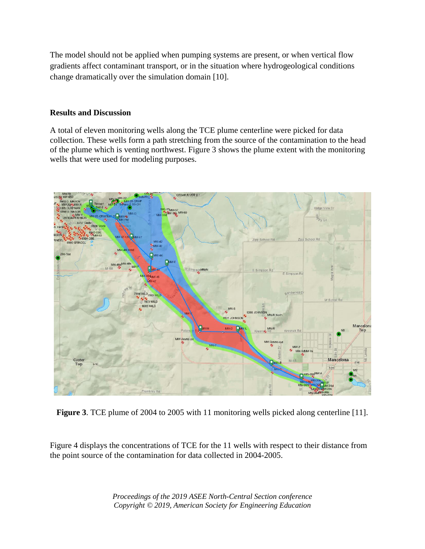The model should not be applied when pumping systems are present, or when vertical flow gradients affect contaminant transport, or in the situation where hydrogeological conditions change dramatically over the simulation domain [10].

### **Results and Discussion**

A total of eleven monitoring wells along the TCE plume centerline were picked for data collection. These wells form a path stretching from the source of the contamination to the head of the plume which is venting northwest. Figure 3 shows the plume extent with the monitoring wells that were used for modeling purposes.



**Figure 3**. TCE plume of 2004 to 2005 with 11 monitoring wells picked along centerline [11].

Figure 4 displays the concentrations of TCE for the 11 wells with respect to their distance from the point source of the contamination for data collected in 2004-2005.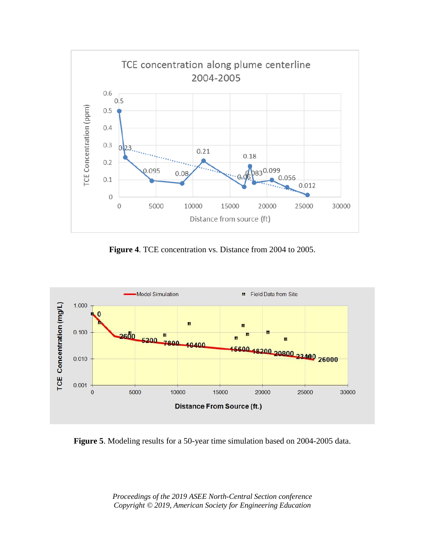

**Figure 4**. TCE concentration vs. Distance from 2004 to 2005.



**Figure 5**. Modeling results for a 50-year time simulation based on 2004-2005 data.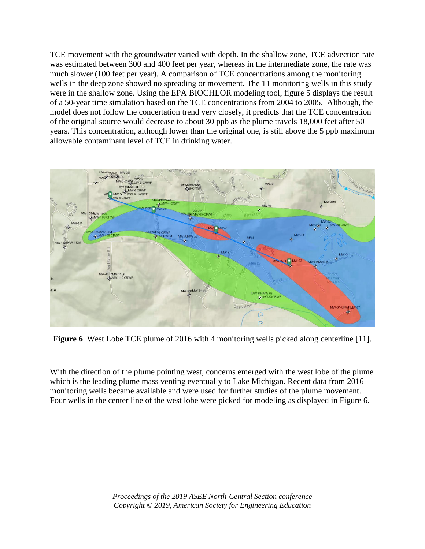TCE movement with the groundwater varied with depth. In the shallow zone, TCE advection rate was estimated between 300 and 400 feet per year, whereas in the intermediate zone, the rate was much slower (100 feet per year). A comparison of TCE concentrations among the monitoring wells in the deep zone showed no spreading or movement. The 11 monitoring wells in this study were in the shallow zone. Using the EPA BIOCHLOR modeling tool, figure 5 displays the result of a 50-year time simulation based on the TCE concentrations from 2004 to 2005. Although, the model does not follow the concertation trend very closely, it predicts that the TCE concentration of the original source would decrease to about 30 ppb as the plume travels 18,000 feet after 50 years. This concentration, although lower than the original one, is still above the 5 ppb maximum allowable contaminant level of TCE in drinking water.



**Figure 6**. West Lobe TCE plume of 2016 with 4 monitoring wells picked along centerline [11].

With the direction of the plume pointing west, concerns emerged with the west lobe of the plume which is the leading plume mass venting eventually to Lake Michigan. Recent data from 2016 monitoring wells became available and were used for further studies of the plume movement. Four wells in the center line of the west lobe were picked for modeling as displayed in Figure 6.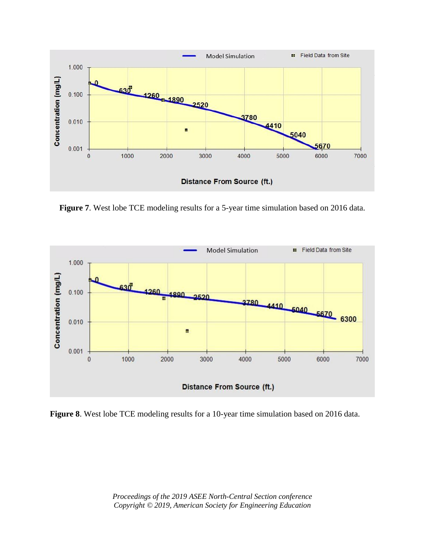

**Figure 7**. West lobe TCE modeling results for a 5-year time simulation based on 2016 data.



**Figure 8**. West lobe TCE modeling results for a 10-year time simulation based on 2016 data.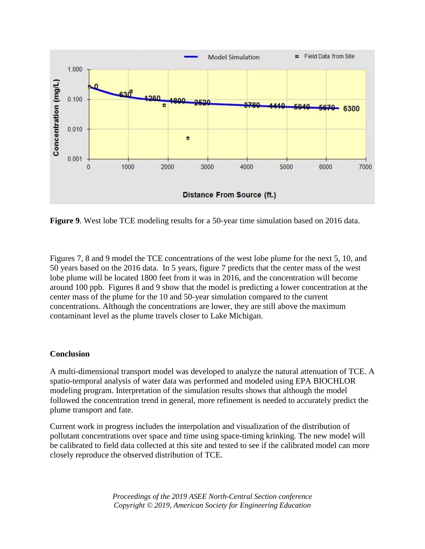

**Figure 9**. West lobe TCE modeling results for a 50-year time simulation based on 2016 data.

Figures 7, 8 and 9 model the TCE concentrations of the west lobe plume for the next 5, 10, and 50 years based on the 2016 data. In 5 years, figure 7 predicts that the center mass of the west lobe plume will be located 1800 feet from it was in 2016, and the concentration will become around 100 ppb. Figures 8 and 9 show that the model is predicting a lower concentration at the center mass of the plume for the 10 and 50-year simulation compared to the current concentrations. Although the concentrations are lower, they are still above the maximum contaminant level as the plume travels closer to Lake Michigan.

#### **Conclusion**

A multi-dimensional transport model was developed to analyze the natural attenuation of TCE. A spatio-temporal analysis of water data was performed and modeled using EPA BIOCHLOR modeling program. Interpretation of the simulation results shows that although the model followed the concentration trend in general, more refinement is needed to accurately predict the plume transport and fate.

Current work in progress includes the interpolation and visualization of the distribution of pollutant concentrations over space and time using space-timing krinking. The new model will be calibrated to field data collected at this site and tested to see if the calibrated model can more closely reproduce the observed distribution of TCE.